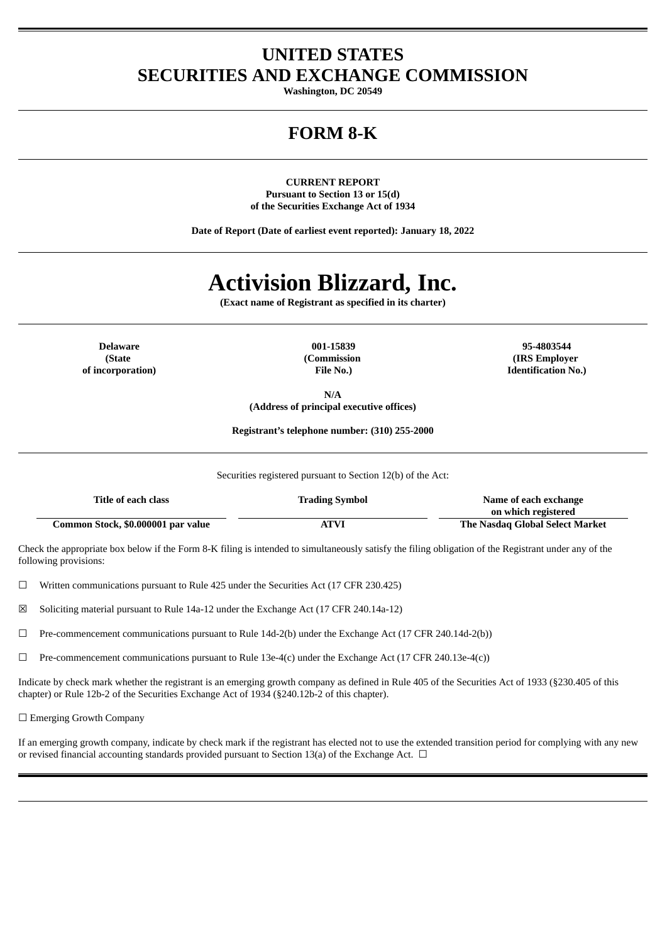# **UNITED STATES SECURITIES AND EXCHANGE COMMISSION**

**Washington, DC 20549**

# **FORM 8-K**

**CURRENT REPORT Pursuant to Section 13 or 15(d) of the Securities Exchange Act of 1934**

**Date of Report (Date of earliest event reported): January 18, 2022**

# **Activision Blizzard, Inc.**

**(Exact name of Registrant as specified in its charter)**

**(State of incorporation)** **(Commission File No.)**

**Delaware 001-15839 95-4803544 (IRS Employer Identification No.)**

> **N/A (Address of principal executive offices)**

**Registrant's telephone number: (310) 255-2000**

Securities registered pursuant to Section 12(b) of the Act:

| Title of each class                | <b>Trading Symbol</b> | Name of each exchange           |
|------------------------------------|-----------------------|---------------------------------|
|                                    |                       | on which registered             |
| Common Stock, \$0.000001 par value | ATVI                  | The Nasdag Global Select Market |

Check the appropriate box below if the Form 8-K filing is intended to simultaneously satisfy the filing obligation of the Registrant under any of the following provisions:

 $\Box$  Written communications pursuant to Rule 425 under the Securities Act (17 CFR 230.425)

☒ Soliciting material pursuant to Rule 14a-12 under the Exchange Act (17 CFR 240.14a-12)

 $\Box$  Pre-commencement communications pursuant to Rule 14d-2(b) under the Exchange Act (17 CFR 240.14d-2(b))

 $\Box$  Pre-commencement communications pursuant to Rule 13e-4(c) under the Exchange Act (17 CFR 240.13e-4(c))

Indicate by check mark whether the registrant is an emerging growth company as defined in Rule 405 of the Securities Act of 1933 (§230.405 of this chapter) or Rule 12b-2 of the Securities Exchange Act of 1934 (§240.12b-2 of this chapter).

□ Emerging Growth Company

If an emerging growth company, indicate by check mark if the registrant has elected not to use the extended transition period for complying with any new or revised financial accounting standards provided pursuant to Section 13(a) of the Exchange Act.  $\Box$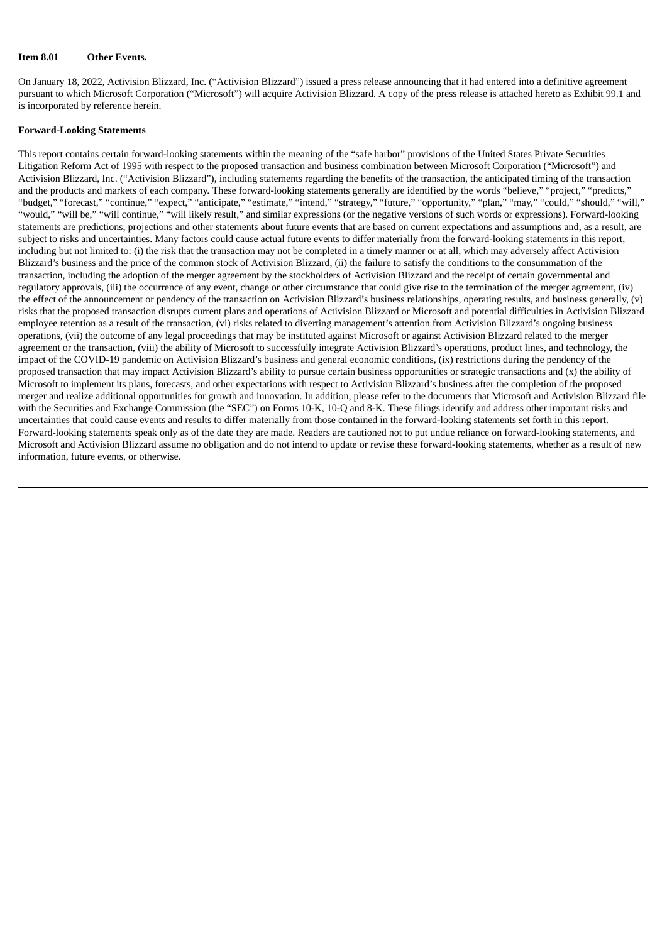#### **Item 8.01 Other Events.**

On January 18, 2022, Activision Blizzard, Inc. ("Activision Blizzard") issued a press release announcing that it had entered into a definitive agreement pursuant to which Microsoft Corporation ("Microsoft") will acquire Activision Blizzard. A copy of the press release is attached hereto as Exhibit 99.1 and is incorporated by reference herein.

#### **Forward-Looking Statements**

This report contains certain forward-looking statements within the meaning of the "safe harbor" provisions of the United States Private Securities Litigation Reform Act of 1995 with respect to the proposed transaction and business combination between Microsoft Corporation ("Microsoft") and Activision Blizzard, Inc. ("Activision Blizzard"), including statements regarding the benefits of the transaction, the anticipated timing of the transaction and the products and markets of each company. These forward-looking statements generally are identified by the words "believe," "project," "predicts," "budget," "forecast," "continue," "expect," "anticipate," "estimate," "intend," "strategy," "future," "opportunity," "plan," "may," "could," "should," "will," "would," "will be," "will continue," "will likely result," and similar expressions (or the negative versions of such words or expressions). Forward-looking statements are predictions, projections and other statements about future events that are based on current expectations and assumptions and, as a result, are subject to risks and uncertainties. Many factors could cause actual future events to differ materially from the forward-looking statements in this report, including but not limited to: (i) the risk that the transaction may not be completed in a timely manner or at all, which may adversely affect Activision Blizzard's business and the price of the common stock of Activision Blizzard, (ii) the failure to satisfy the conditions to the consummation of the transaction, including the adoption of the merger agreement by the stockholders of Activision Blizzard and the receipt of certain governmental and regulatory approvals, (iii) the occurrence of any event, change or other circumstance that could give rise to the termination of the merger agreement, (iv) the effect of the announcement or pendency of the transaction on Activision Blizzard's business relationships, operating results, and business generally, (v) risks that the proposed transaction disrupts current plans and operations of Activision Blizzard or Microsoft and potential difficulties in Activision Blizzard employee retention as a result of the transaction, (vi) risks related to diverting management's attention from Activision Blizzard's ongoing business operations, (vii) the outcome of any legal proceedings that may be instituted against Microsoft or against Activision Blizzard related to the merger agreement or the transaction, (viii) the ability of Microsoft to successfully integrate Activision Blizzard's operations, product lines, and technology, the impact of the COVID-19 pandemic on Activision Blizzard's business and general economic conditions, (ix) restrictions during the pendency of the proposed transaction that may impact Activision Blizzard's ability to pursue certain business opportunities or strategic transactions and (x) the ability of Microsoft to implement its plans, forecasts, and other expectations with respect to Activision Blizzard's business after the completion of the proposed merger and realize additional opportunities for growth and innovation. In addition, please refer to the documents that Microsoft and Activision Blizzard file with the Securities and Exchange Commission (the "SEC") on Forms 10-K, 10-Q and 8-K. These filings identify and address other important risks and uncertainties that could cause events and results to differ materially from those contained in the forward-looking statements set forth in this report. Forward-looking statements speak only as of the date they are made. Readers are cautioned not to put undue reliance on forward-looking statements, and Microsoft and Activision Blizzard assume no obligation and do not intend to update or revise these forward-looking statements, whether as a result of new information, future events, or otherwise.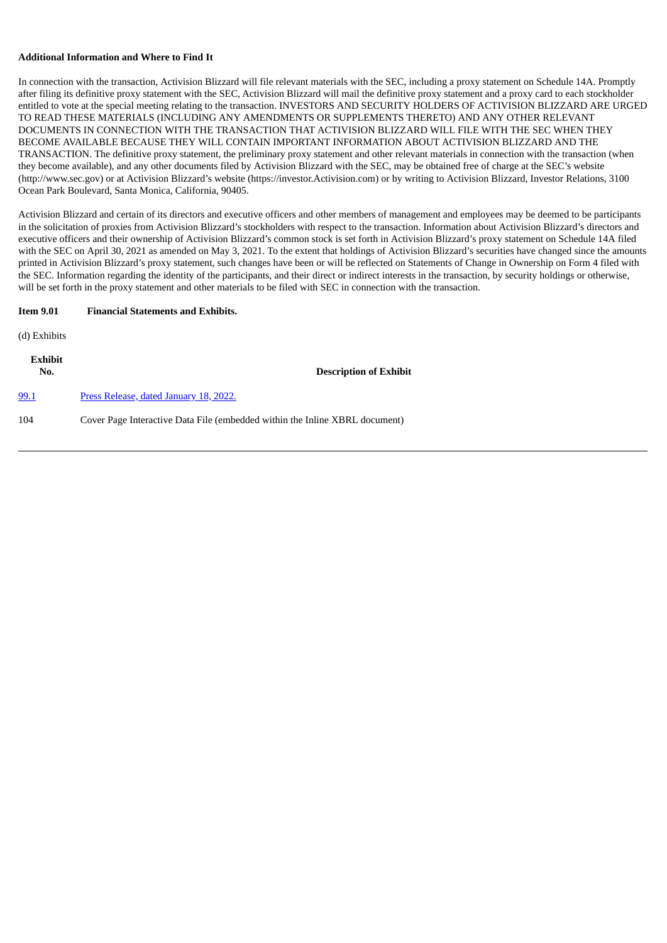#### **Additional Information and Where to Find It**

In connection with the transaction, Activision Blizzard will file relevant materials with the SEC, including a proxy statement on Schedule 14A. Promptly after filing its definitive proxy statement with the SEC, Activision Blizzard will mail the definitive proxy statement and a proxy card to each stockholder entitled to vote at the special meeting relating to the transaction. INVESTORS AND SECURITY HOLDERS OF ACTIVISION BLIZZARD ARE URGED TO READ THESE MATERIALS (INCLUDING ANY AMENDMENTS OR SUPPLEMENTS THERETO) AND ANY OTHER RELEVANT DOCUMENTS IN CONNECTION WITH THE TRANSACTION THAT ACTIVISION BLIZZARD WILL FILE WITH THE SEC WHEN THEY BECOME AVAILABLE BECAUSE THEY WILL CONTAIN IMPORTANT INFORMATION ABOUT ACTIVISION BLIZZARD AND THE TRANSACTION. The definitive proxy statement, the preliminary proxy statement and other relevant materials in connection with the transaction (when they become available), and any other documents filed by Activision Blizzard with the SEC, may be obtained free of charge at the SEC's website (http://www.sec.gov) or at Activision Blizzard's website (https://investor.Activision.com) or by writing to Activision Blizzard, Investor Relations, 3100 Ocean Park Boulevard, Santa Monica, California, 90405.

Activision Blizzard and certain of its directors and executive officers and other members of management and employees may be deemed to be participants in the solicitation of proxies from Activision Blizzard's stockholders with respect to the transaction. Information about Activision Blizzard's directors and executive officers and their ownership of Activision Blizzard's common stock is set forth in Activision Blizzard's proxy statement on Schedule 14A filed with the SEC on April 30, 2021 as amended on May 3, 2021. To the extent that holdings of Activision Blizzard's securities have changed since the amounts printed in Activision Blizzard's proxy statement, such changes have been or will be reflected on Statements of Change in Ownership on Form 4 filed with the SEC. Information regarding the identity of the participants, and their direct or indirect interests in the transaction, by security holdings or otherwise, will be set forth in the proxy statement and other materials to be filed with SEC in connection with the transaction.

| <b>Item 9.01</b> | <b>Financial Statements and Exhibits.</b> |
|------------------|-------------------------------------------|
|------------------|-------------------------------------------|

(d) Exhibits

| Exhibit<br>No. | <b>Description of Exhibit</b>                                               |
|----------------|-----------------------------------------------------------------------------|
| 99.1           | Press Release, dated January 18, 2022.                                      |
| 104            | Cover Page Interactive Data File (embedded within the Inline XBRL document) |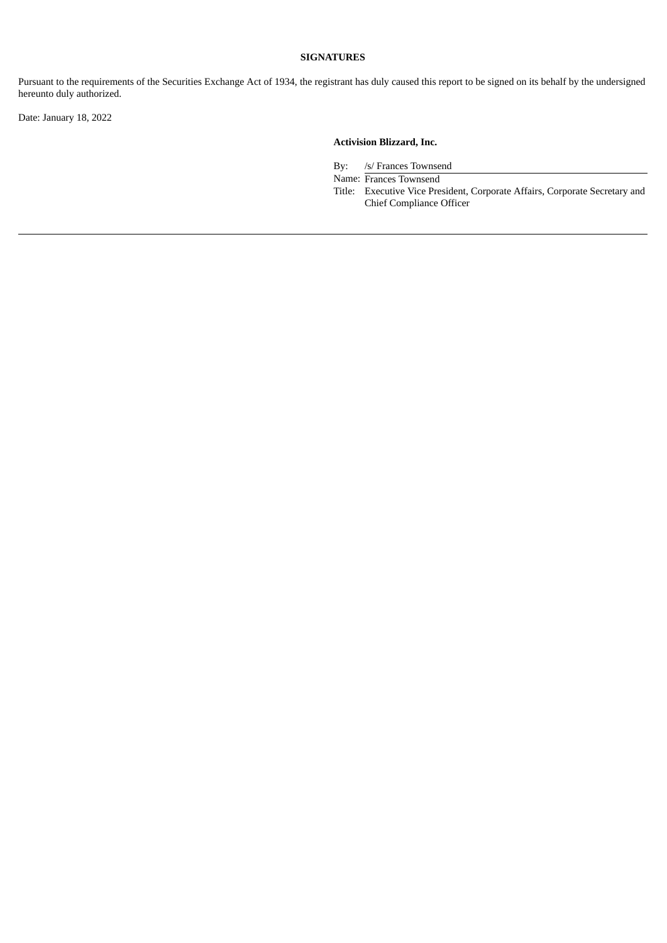# **SIGNATURES**

Pursuant to the requirements of the Securities Exchange Act of 1934, the registrant has duly caused this report to be signed on its behalf by the undersigned hereunto duly authorized.

Date: January 18, 2022

# **Activision Blizzard, Inc.**

By: /s/ Frances Townsend

Name: Frances Townsend

Title: Executive Vice President, Corporate Affairs, Corporate Secretary and Chief Compliance Officer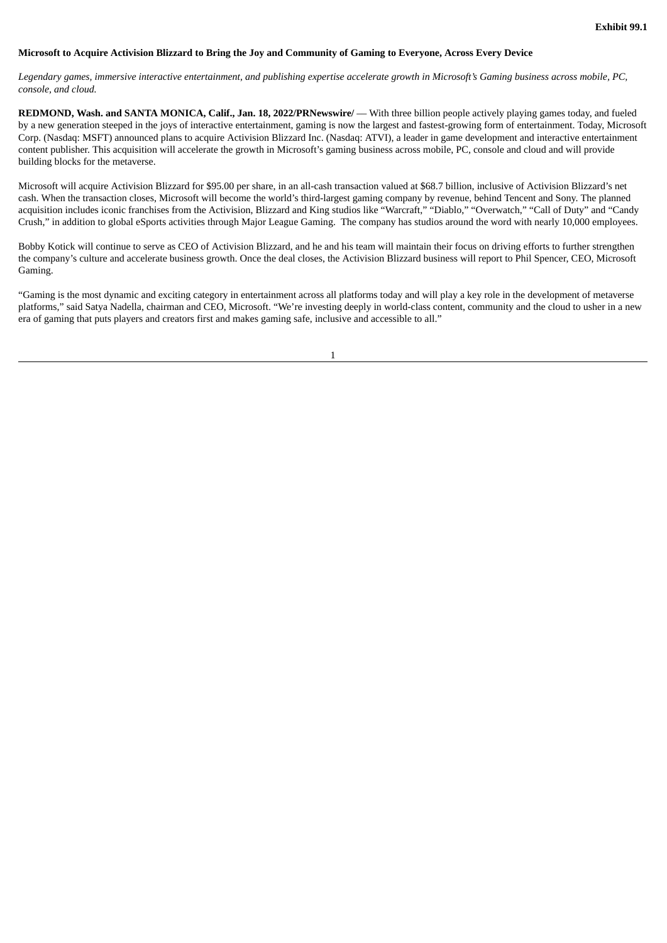#### <span id="page-4-0"></span>Microsoft to Acquire Activision Blizzard to Bring the Joy and Community of Gaming to Everyone, Across Every Device

Legendary games, immersive interactive entertainment, and publishing expertise accelerate growth in Microsoft's Gaming business across mobile, PC, *console, and cloud.*

**REDMOND, Wash. and SANTA MONICA, Calif., Jan. 18, 2022/PRNewswire/** –– With three billion people actively playing games today, and fueled by a new generation steeped in the joys of interactive entertainment, gaming is now the largest and fastest-growing form of entertainment. Today, Microsoft Corp. (Nasdaq: MSFT) announced plans to acquire Activision Blizzard Inc. (Nasdaq: ATVI), a leader in game development and interactive entertainment content publisher. This acquisition will accelerate the growth in Microsoft's gaming business across mobile, PC, console and cloud and will provide building blocks for the metaverse.

Microsoft will acquire Activision Blizzard for \$95.00 per share, in an all-cash transaction valued at \$68.7 billion, inclusive of Activision Blizzard's net cash. When the transaction closes, Microsoft will become the world's third-largest gaming company by revenue, behind Tencent and Sony. The planned acquisition includes iconic franchises from the Activision, Blizzard and King studios like "Warcraft," "Diablo," "Overwatch," "Call of Duty" and "Candy Crush," in addition to global eSports activities through Major League Gaming. The company has studios around the word with nearly 10,000 employees.

Bobby Kotick will continue to serve as CEO of Activision Blizzard, and he and his team will maintain their focus on driving efforts to further strengthen the company's culture and accelerate business growth. Once the deal closes, the Activision Blizzard business will report to Phil Spencer, CEO, Microsoft Gaming.

"Gaming is the most dynamic and exciting category in entertainment across all platforms today and will play a key role in the development of metaverse platforms," said Satya Nadella, chairman and CEO, Microsoft. "We're investing deeply in world-class content, community and the cloud to usher in a new era of gaming that puts players and creators first and makes gaming safe, inclusive and accessible to all."

1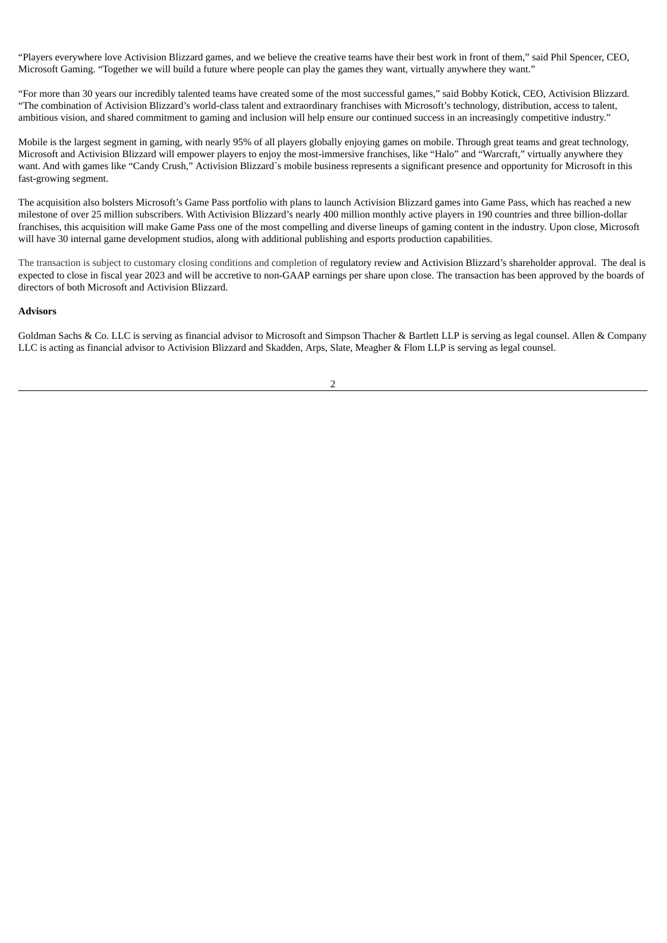"Players everywhere love Activision Blizzard games, and we believe the creative teams have their best work in front of them," said Phil Spencer, CEO, Microsoft Gaming. "Together we will build a future where people can play the games they want, virtually anywhere they want."

"For more than 30 years our incredibly talented teams have created some of the most successful games," said Bobby Kotick, CEO, Activision Blizzard. "The combination of Activision Blizzard's world-class talent and extraordinary franchises with Microsoft's technology, distribution, access to talent, ambitious vision, and shared commitment to gaming and inclusion will help ensure our continued success in an increasingly competitive industry."

Mobile is the largest segment in gaming, with nearly 95% of all players globally enjoying games on mobile. Through great teams and great technology, Microsoft and Activision Blizzard will empower players to enjoy the most-immersive franchises, like "Halo" and "Warcraft," virtually anywhere they want. And with games like "Candy Crush," Activision Blizzard´s mobile business represents a significant presence and opportunity for Microsoft in this fast-growing segment.

The acquisition also bolsters Microsoft's Game Pass portfolio with plans to launch Activision Blizzard games into Game Pass, which has reached a new milestone of over 25 million subscribers. With Activision Blizzard's nearly 400 million monthly active players in 190 countries and three billion-dollar franchises, this acquisition will make Game Pass one of the most compelling and diverse lineups of gaming content in the industry. Upon close, Microsoft will have 30 internal game development studios, along with additional publishing and esports production capabilities.

The transaction is subject to customary closing conditions and completion of regulatory review and Activision Blizzard's shareholder approval. The deal is expected to close in fiscal year 2023 and will be accretive to non-GAAP earnings per share upon close. The transaction has been approved by the boards of directors of both Microsoft and Activision Blizzard.

## **Advisors**

Goldman Sachs & Co. LLC is serving as financial advisor to Microsoft and Simpson Thacher & Bartlett LLP is serving as legal counsel. Allen & Company LLC is acting as financial advisor to Activision Blizzard and Skadden, Arps, Slate, Meagher & Flom LLP is serving as legal counsel.

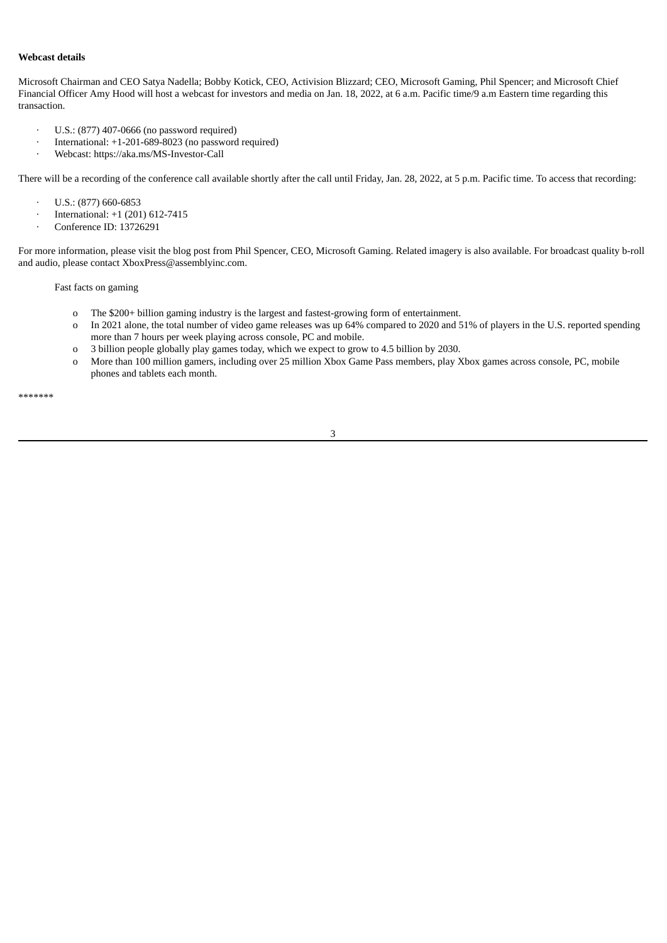## **Webcast details**

Microsoft Chairman and CEO Satya Nadella; Bobby Kotick, CEO, Activision Blizzard; CEO, Microsoft Gaming, Phil Spencer; and Microsoft Chief Financial Officer Amy Hood will host a webcast for investors and media on Jan. 18, 2022, at 6 a.m. Pacific time/9 a.m Eastern time regarding this transaction.

- · U.S.: (877) 407-0666 (no password required)
- · International: +1-201-689-8023 (no password required)
- · Webcast: https://aka.ms/MS-Investor-Call

There will be a recording of the conference call available shortly after the call until Friday, Jan. 28, 2022, at 5 p.m. Pacific time. To access that recording:

- $\cdot$  U.S.: (877) 660-6853
- · International: +1 (201) 612-7415
- · Conference ID: 13726291

For more information, please visit the blog post from Phil Spencer, CEO, Microsoft Gaming. Related imagery is also available. For broadcast quality b-roll and audio, please contact XboxPress@assemblyinc.com.

Fast facts on gaming

- o The \$200+ billion gaming industry is the largest and fastest-growing form of entertainment.
- o In 2021 alone, the total number of video game releases was up 64% compared to 2020 and 51% of players in the U.S. reported spending more than 7 hours per week playing across console, PC and mobile.
- o 3 billion people globally play games today, which we expect to grow to 4.5 billion by 2030.
- o More than 100 million gamers, including over 25 million Xbox Game Pass members, play Xbox games across console, PC, mobile phones and tablets each month.

\*\*\*\*\*\*\*

3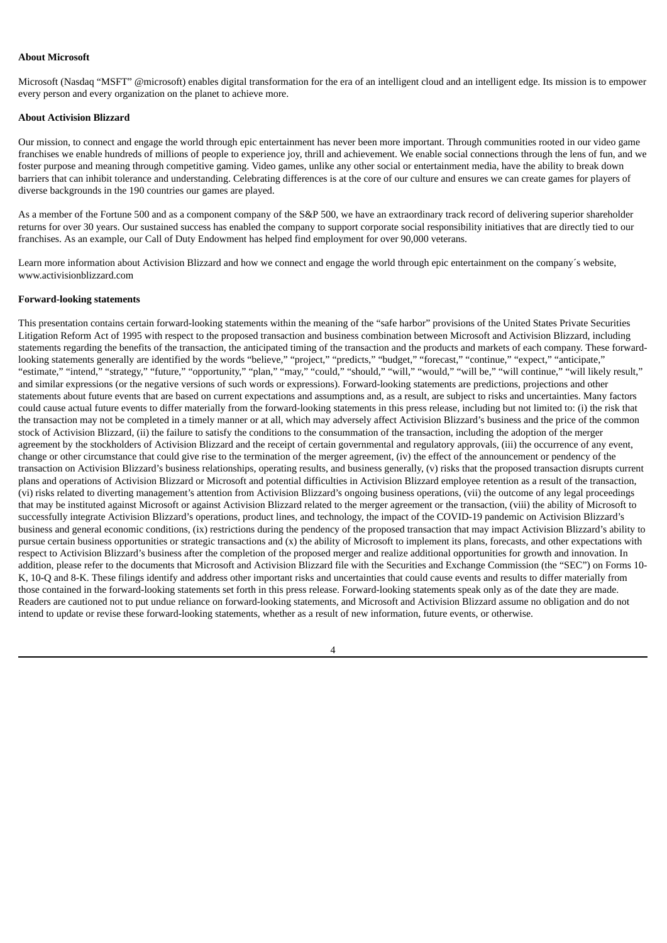#### **About Microsoft**

Microsoft (Nasdaq "MSFT" @microsoft) enables digital transformation for the era of an intelligent cloud and an intelligent edge. Its mission is to empower every person and every organization on the planet to achieve more.

## **About Activision Blizzard**

Our mission, to connect and engage the world through epic entertainment has never been more important. Through communities rooted in our video game franchises we enable hundreds of millions of people to experience joy, thrill and achievement. We enable social connections through the lens of fun, and we foster purpose and meaning through competitive gaming. Video games, unlike any other social or entertainment media, have the ability to break down barriers that can inhibit tolerance and understanding. Celebrating differences is at the core of our culture and ensures we can create games for players of diverse backgrounds in the 190 countries our games are played.

As a member of the Fortune 500 and as a component company of the S&P 500, we have an extraordinary track record of delivering superior shareholder returns for over 30 years. Our sustained success has enabled the company to support corporate social responsibility initiatives that are directly tied to our franchises. As an example, our Call of Duty Endowment has helped find employment for over 90,000 veterans.

Learn more information about Activision Blizzard and how we connect and engage the world through epic entertainment on the company´s website, www.activisionblizzard.com

#### **Forward-looking statements**

This presentation contains certain forward-looking statements within the meaning of the "safe harbor" provisions of the United States Private Securities Litigation Reform Act of 1995 with respect to the proposed transaction and business combination between Microsoft and Activision Blizzard, including statements regarding the benefits of the transaction, the anticipated timing of the transaction and the products and markets of each company. These forwardlooking statements generally are identified by the words "believe," "project," "predicts," "budget," "forecast," "continue," "expect," "anticipate," "estimate," "intend," "strategy," "future," "opportunity," "plan," "may," "could," "should," "will," "would," "will be," "will continue," "will likely result," and similar expressions (or the negative versions of such words or expressions). Forward-looking statements are predictions, projections and other statements about future events that are based on current expectations and assumptions and, as a result, are subject to risks and uncertainties. Many factors could cause actual future events to differ materially from the forward-looking statements in this press release, including but not limited to: (i) the risk that the transaction may not be completed in a timely manner or at all, which may adversely affect Activision Blizzard's business and the price of the common stock of Activision Blizzard, (ii) the failure to satisfy the conditions to the consummation of the transaction, including the adoption of the merger agreement by the stockholders of Activision Blizzard and the receipt of certain governmental and regulatory approvals, (iii) the occurrence of any event, change or other circumstance that could give rise to the termination of the merger agreement, (iv) the effect of the announcement or pendency of the transaction on Activision Blizzard's business relationships, operating results, and business generally, (v) risks that the proposed transaction disrupts current plans and operations of Activision Blizzard or Microsoft and potential difficulties in Activision Blizzard employee retention as a result of the transaction, (vi) risks related to diverting management's attention from Activision Blizzard's ongoing business operations, (vii) the outcome of any legal proceedings that may be instituted against Microsoft or against Activision Blizzard related to the merger agreement or the transaction, (viii) the ability of Microsoft to successfully integrate Activision Blizzard's operations, product lines, and technology, the impact of the COVID-19 pandemic on Activision Blizzard's business and general economic conditions, (ix) restrictions during the pendency of the proposed transaction that may impact Activision Blizzard's ability to pursue certain business opportunities or strategic transactions and (x) the ability of Microsoft to implement its plans, forecasts, and other expectations with respect to Activision Blizzard's business after the completion of the proposed merger and realize additional opportunities for growth and innovation. In addition, please refer to the documents that Microsoft and Activision Blizzard file with the Securities and Exchange Commission (the "SEC") on Forms 10- K, 10-Q and 8-K. These filings identify and address other important risks and uncertainties that could cause events and results to differ materially from those contained in the forward-looking statements set forth in this press release. Forward-looking statements speak only as of the date they are made. Readers are cautioned not to put undue reliance on forward-looking statements, and Microsoft and Activision Blizzard assume no obligation and do not intend to update or revise these forward-looking statements, whether as a result of new information, future events, or otherwise.